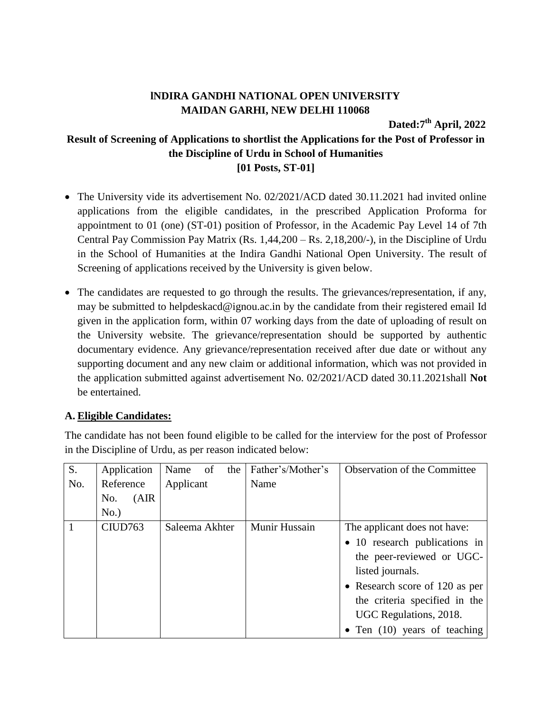## **lNDIRA GANDHI NATIONAL OPEN UNIVERSITY MAIDAN GARHI, NEW DELHI 110068**

**Dated:7 th April, 2022**

## **Result of Screening of Applications to shortlist the Applications for the Post of Professor in the Discipline of Urdu in School of Humanities [01 Posts, ST-01]**

- The University vide its advertisement No. 02/2021/ACD dated 30.11.2021 had invited online applications from the eligible candidates, in the prescribed Application Proforma for appointment to 01 (one) (ST-01) position of Professor, in the Academic Pay Level 14 of 7th Central Pay Commission Pay Matrix (Rs. 1,44,200 – Rs. 2,18,200/-), in the Discipline of Urdu in the School of Humanities at the Indira Gandhi National Open University. The result of Screening of applications received by the University is given below.
- The candidates are requested to go through the results. The grievances/representation, if any, may be submitted to helpdeskacd@ignou.ac.in by the candidate from their registered email Id given in the application form, within 07 working days from the date of uploading of result on the University website. The grievance/representation should be supported by authentic documentary evidence. Any grievance/representation received after due date or without any supporting document and any new claim or additional information, which was not provided in the application submitted against advertisement No. 02/2021/ACD dated 30.11.2021shall **Not** be entertained.

## **A. Eligible Candidates:**

The candidate has not been found eligible to be called for the interview for the post of Professor in the Discipline of Urdu, as per reason indicated below:

| $\overline{S}$ . | Application  | Name<br>of<br>the | Father's/Mother's | <b>Observation of the Committee</b>  |
|------------------|--------------|-------------------|-------------------|--------------------------------------|
| No.              | Reference    | Applicant         | Name              |                                      |
|                  | (AIR)<br>No. |                   |                   |                                      |
|                  | No.)         |                   |                   |                                      |
| $\overline{1}$   | CIUD763      | Saleema Akhter    | Munir Hussain     | The applicant does not have:         |
|                  |              |                   |                   | • 10 research publications in        |
|                  |              |                   |                   | the peer-reviewed or UGC-            |
|                  |              |                   |                   | listed journals.                     |
|                  |              |                   |                   | • Research score of 120 as per       |
|                  |              |                   |                   | the criteria specified in the        |
|                  |              |                   |                   | UGC Regulations, 2018.               |
|                  |              |                   |                   | $\bullet$ Ten (10) years of teaching |